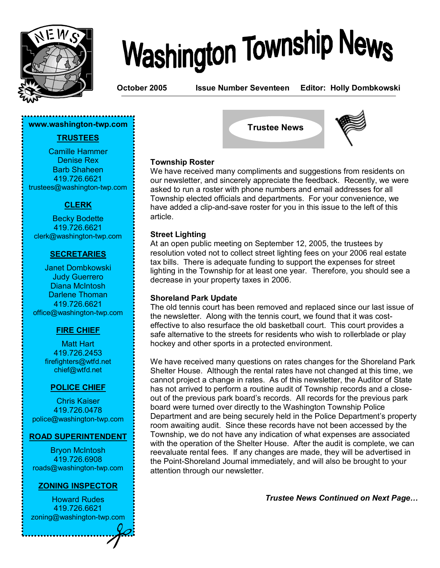

# **Washington Township News**

**October 2005 Issue Number Seventeen Editor: Holly Dombkowski**

#### **www.washington-twp.com**

#### **TRUSTEES**

Camille Hammer Denise Rex Barb Shaheen 419.726.6621 trustees@washington-twp.com

#### **CLERK**

Becky Bodette 419.726.6621 clerk@washington-twp.com

#### **SECRETARIES**

Janet Dombkowski Judy Guerrero Diana McIntosh Darlene Thoman 419.726.6621 office@washington-twp.com

#### **FIRE CHIEF**

Matt Hart 419.726.2453 firefighters@wtfd.net chief@wtfd.net

#### **POLICE CHIEF**

Chris Kaiser 419.726.0478 police@washington-twp.com

#### **ROAD SUPERINTENDENT**

Bryon McIntosh 419.726.6908 roads@washington-twp.com

#### **ZONING INSPECTOR**

Howard Rudes 419.726.6621 zoning@washington-twp.com





#### **Township Roster**

We have received many compliments and suggestions from residents on our newsletter, and sincerely appreciate the feedback. Recently, we were asked to run a roster with phone numbers and email addresses for all Township elected officials and departments. For your convenience, we have added a clip-and-save roster for you in this issue to the left of this article.

#### **Street Lighting**

At an open public meeting on September 12, 2005, the trustees by resolution voted not to collect street lighting fees on your 2006 real estate tax bills. There is adequate funding to support the expenses for street lighting in the Township for at least one year. Therefore, you should see a decrease in your property taxes in 2006.

#### **Shoreland Park Update**

The old tennis court has been removed and replaced since our last issue of the newsletter. Along with the tennis court, we found that it was costeffective to also resurface the old basketball court. This court provides a safe alternative to the streets for residents who wish to rollerblade or play hockey and other sports in a protected environment.

We have received many questions on rates changes for the Shoreland Park Shelter House. Although the rental rates have not changed at this time, we cannot project a change in rates. As of this newsletter, the Auditor of State has not arrived to perform a routine audit of Township records and a closeout of the previous park board's records. All records for the previous park board were turned over directly to the Washington Township Police Department and are being securely held in the Police Department's property room awaiting audit. Since these records have not been accessed by the Township, we do not have any indication of what expenses are associated with the operation of the Shelter House. After the audit is complete, we can reevaluate rental fees. If any changes are made, they will be advertised in the Point-Shoreland Journal immediately, and will also be brought to your attention through our newsletter.

*Trustee News Continued on Next Page...*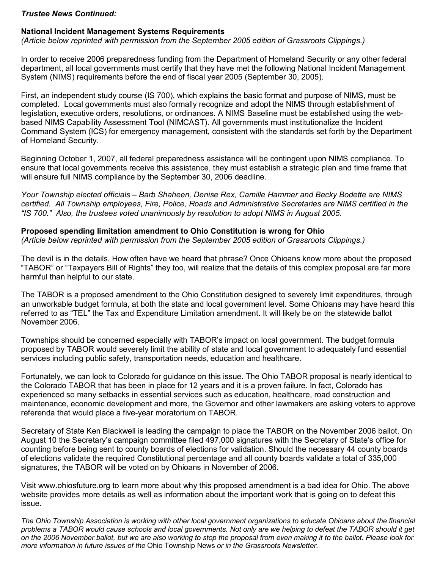#### *Trustee News Continued:*

#### **National Incident Management Systems Requirements**

*(Article below reprinted with permission from the September 2005 edition of Grassroots Clippings.)*

In order to receive 2006 preparedness funding from the Department of Homeland Security or any other federal department, all local governments must certify that they have met the following National Incident Management System (NIMS) requirements before the end of fiscal year 2005 (September 30, 2005).

First, an independent study course (IS 700), which explains the basic format and purpose of NIMS, must be completed. Local governments must also formally recognize and adopt the NIMS through establishment of legislation, executive orders, resolutions, or ordinances. A NIMS Baseline must be established using the webbased NIMS Capability Assessment Tool (NIMCAST). All governments must institutionalize the Incident Command System (ICS) for emergency management, consistent with the standards set forth by the Department of Homeland Security.

Beginning October 1, 2007, all federal preparedness assistance will be contingent upon NIMS compliance. To ensure that local governments receive this assistance, they must establish a strategic plan and time frame that will ensure full NIMS compliance by the September 30, 2006 deadline.

*Your Township elected officials ñ Barb Shaheen, Denise Rex, Camille Hammer and Becky Bodette are NIMS certified. All Township employees, Fire, Police, Roads and Administrative Secretaries are NIMS certified in the ìIS 700.î Also, the trustees voted unanimously by resolution to adopt NIMS in August 2005.* 

#### **Proposed spending limitation amendment to Ohio Constitution is wrong for Ohio**

*(Article below reprinted with permission from the September 2005 edition of Grassroots Clippings.)*

The devil is in the details. How often have we heard that phrase? Once Ohioans know more about the proposed ìTABORî or ìTaxpayers Bill of Rightsî they too, will realize that the details of this complex proposal are far more harmful than helpful to our state.

The TABOR is a proposed amendment to the Ohio Constitution designed to severely limit expenditures, through an unworkable budget formula, at both the state and local government level. Some Ohioans may have heard this referred to as "TEL" the Tax and Expenditure Limitation amendment. It will likely be on the statewide ballot November 2006.

Townships should be concerned especially with TABORís impact on local government. The budget formula proposed by TABOR would severely limit the ability of state and local government to adequately fund essential services including public safety, transportation needs, education and healthcare.

Fortunately, we can look to Colorado for guidance on this issue. The Ohio TABOR proposal is nearly identical to the Colorado TABOR that has been in place for 12 years and it is a proven failure. In fact, Colorado has experienced so many setbacks in essential services such as education, healthcare, road construction and maintenance, economic development and more, the Governor and other lawmakers are asking voters to approve referenda that would place a five-year moratorium on TABOR.

Secretary of State Ken Blackwell is leading the campaign to place the TABOR on the November 2006 ballot. On August 10 the Secretaryís campaign committee filed 497,000 signatures with the Secretary of Stateís office for counting before being sent to county boards of elections for validation. Should the necessary 44 county boards of elections validate the required Constitutional percentage and all county boards validate a total of 335,000 signatures, the TABOR will be voted on by Ohioans in November of 2006.

Visit www.ohiosfuture.org to learn more about why this proposed amendment is a bad idea for Ohio. The above website provides more details as well as information about the important work that is going on to defeat this issue.

*The Ohio Township Association is working with other local government organizations to educate Ohioans about the financial*  problems a TABOR would cause schools and local governments. Not only are we helping to defeat the TABOR should it get *on the 2006 November ballot, but we are also working to stop the proposal from even making it to the ballot. Please look for more information in future issues of the* Ohio Township News *or in the Grassroots Newsletter.*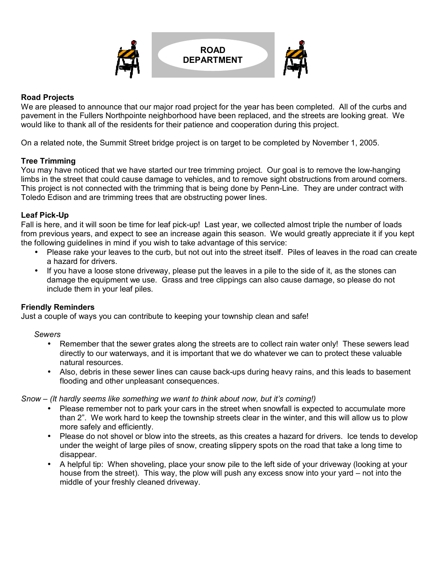

#### **Road Projects**

We are pleased to announce that our major road project for the year has been completed. All of the curbs and pavement in the Fullers Northpointe neighborhood have been replaced, and the streets are looking great. We would like to thank all of the residents for their patience and cooperation during this project.

On a related note, the Summit Street bridge project is on target to be completed by November 1, 2005.

#### **Tree Trimming**

You may have noticed that we have started our tree trimming project. Our goal is to remove the low-hanging limbs in the street that could cause damage to vehicles, and to remove sight obstructions from around corners. This project is not connected with the trimming that is being done by Penn-Line. They are under contract with Toledo Edison and are trimming trees that are obstructing power lines.

#### **Leaf Pick-Up**

Fall is here, and it will soon be time for leaf pick-up! Last year, we collected almost triple the number of loads from previous years, and expect to see an increase again this season. We would greatly appreciate it if you kept the following guidelines in mind if you wish to take advantage of this service:

- Please rake your leaves to the curb, but not out into the street itself. Piles of leaves in the road can create a hazard for drivers.
- • If you have a loose stone driveway, please put the leaves in a pile to the side of it, as the stones can damage the equipment we use. Grass and tree clippings can also cause damage, so please do not include them in your leaf piles.

#### **Friendly Reminders**

Just a couple of ways you can contribute to keeping your township clean and safe!

#### *Sewers*

- Remember that the sewer grates along the streets are to collect rain water only! These sewers lead directly to our waterways, and it is important that we do whatever we can to protect these valuable natural resources.
- Also, debris in these sewer lines can cause back-ups during heavy rains, and this leads to basement flooding and other unpleasant consequences.

*Snow – (It hardly seems like something we want to think about now, but it's coming!)* 

- Please remember not to park your cars in the street when snowfall is expected to accumulate more than 2î. We work hard to keep the township streets clear in the winter, and this will allow us to plow more safely and efficiently.
- Please do not shovel or blow into the streets, as this creates a hazard for drivers. Ice tends to develop under the weight of large piles of snow, creating slippery spots on the road that take a long time to disappear.
- A helpful tip: When shoveling, place your snow pile to the left side of your driveway (looking at your house from the street). This way, the plow will push any excess snow into your yard  $-$  not into the middle of your freshly cleaned driveway.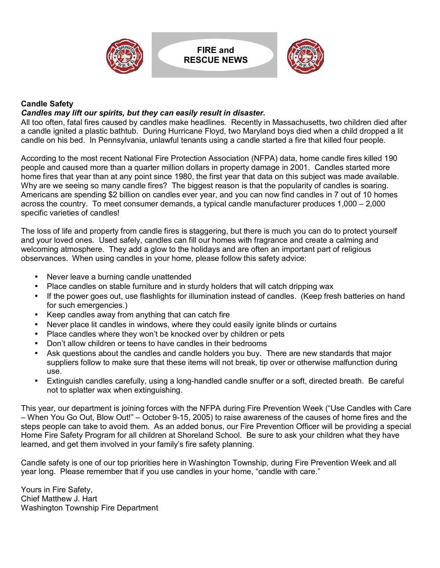

**FIRE and RESCUE NEWS**



#### **Candle Safety**

#### *Candles may lift our spirits, but they can easily result in disaster.*

All too often, fatal fires caused by candles make headlines. Recently in Massachusetts, two children died after a candle ignited a plastic bathtub. During Hurricane Floyd, two Maryland boys died when a child dropped a lit candle on his bed. In Pennsylvania, unlawful tenants using a candle started a fire that killed four people.

According to the most recent National Fire Protection Association (NFPA) data, home candle fires killed 190 people and caused more than a quarter million dollars in property damage in 2001. Candles started more home fires that year than at any point since 1980, the first year that data on this subject was made available. Why are we seeing so many candle fires? The biggest reason is that the popularity of candles is soaring. Americans are spending \$2 billion on candles ever year, and you can now find candles in 7 out of 10 homes across the country. To meet consumer demands, a typical candle manufacturer produces  $1,000 - 2,000$ specific varieties of candles!

The loss of life and property from candle fires is staggering, but there is much you can do to protect yourself and your loved ones. Used safely, candles can fill our homes with fragrance and create a calming and welcoming atmosphere. They add a glow to the holidays and are often an important part of religious observances. When using candles in your home, please follow this safety advice:

- Never leave a burning candle unattended
- Place candles on stable furniture and in sturdy holders that will catch dripping wax
- If the power goes out, use flashlights for illumination instead of candles. (Keep fresh batteries on hand for such emergencies.)
- Keep candles away from anything that can catch fire
- Never place lit candles in windows, where they could easily ignite blinds or curtains
- Place candles where they won't be knocked over by children or pets
- Don't allow children or teens to have candles in their bedrooms
- Ask questions about the candles and candle holders you buy. There are new standards that major suppliers follow to make sure that these items will not break, tip over or otherwise malfunction during use.
- Extinguish candles carefully, using a long-handled candle snuffer or a soft, directed breath. Be careful not to splatter wax when extinguishing.

This year, our department is joining forces with the NFPA during Fire Prevention Week ("Use Candles with Care" – When You Go Out, Blow Out!" – October 9-15, 2005) to raise awareness of the causes of home fires and the steps people can take to avoid them. As an added bonus, our Fire Prevention Officer will be providing a special Home Fire Safety Program for all children at Shoreland School. Be sure to ask your children what they have learned, and get them involved in your family's fire safety planning.

Candle safety is one of our top priorities here in Washington Township, during Fire Prevention Week and all year long. Please remember that if you use candles in your home, "candle with care."

Yours in Fire Safety, Chief Matthew J. Hart Washington Township Fire Department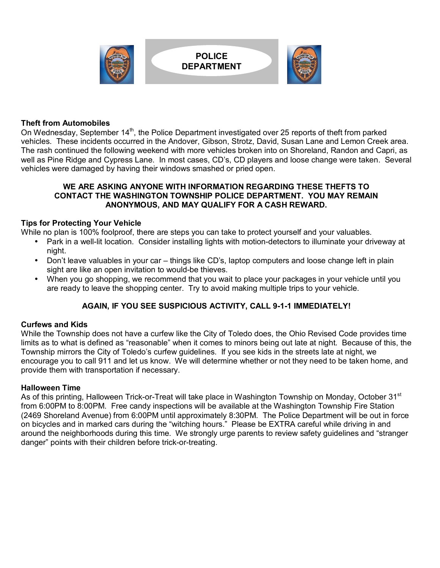

#### **Theft from Automobiles**

On Wednesday, September 14<sup>th</sup>, the Police Department investigated over 25 reports of theft from parked vehicles. These incidents occurred in the Andover, Gibson, Strotz, David, Susan Lane and Lemon Creek area. The rash continued the following weekend with more vehicles broken into on Shoreland, Randon and Capri, as well as Pine Ridge and Cypress Lane. In most cases, CD's, CD players and loose change were taken. Several vehicles were damaged by having their windows smashed or pried open.

#### **WE ARE ASKING ANYONE WITH INFORMATION REGARDING THESE THEFTS TO CONTACT THE WASHINGTON TOWNSHIP POLICE DEPARTMENT. YOU MAY REMAIN ANONYMOUS, AND MAY QUALIFY FOR A CASH REWARD.**

#### **Tips for Protecting Your Vehicle**

While no plan is 100% foolproof, there are steps you can take to protect yourself and your valuables.

- Park in a well-lit location. Consider installing lights with motion-detectors to illuminate your driveway at night.
- Don't leave valuables in your car things like CD's, laptop computers and loose change left in plain sight are like an open invitation to would-be thieves.
- When you go shopping, we recommend that you wait to place your packages in your vehicle until you are ready to leave the shopping center. Try to avoid making multiple trips to your vehicle.

#### **AGAIN, IF YOU SEE SUSPICIOUS ACTIVITY, CALL 9-1-1 IMMEDIATELY!**

#### **Curfews and Kids**

While the Township does not have a curfew like the City of Toledo does, the Ohio Revised Code provides time limits as to what is defined as "reasonable" when it comes to minors being out late at night. Because of this, the Township mirrors the City of Toledo's curfew guidelines. If you see kids in the streets late at night, we encourage you to call 911 and let us know. We will determine whether or not they need to be taken home, and provide them with transportation if necessary.

#### **Halloween Time**

As of this printing, Halloween Trick-or-Treat will take place in Washington Township on Monday, October 31<sup>st</sup> from 6:00PM to 8:00PM. Free candy inspections will be available at the Washington Township Fire Station (2469 Shoreland Avenue) from 6:00PM until approximately 8:30PM. The Police Department will be out in force on bicycles and in marked cars during the "witching hours." Please be EXTRA careful while driving in and around the neighborhoods during this time. We strongly urge parents to review safety guidelines and "stranger danger" points with their children before trick-or-treating.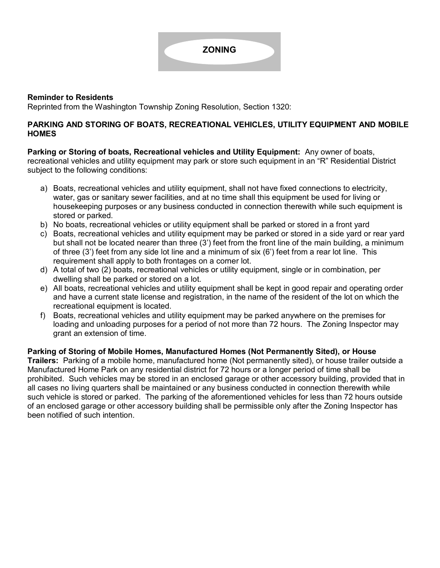#### **Reminder to Residents**

Reprinted from the Washington Township Zoning Resolution, Section 1320:

#### **PARKING AND STORING OF BOATS, RECREATIONAL VEHICLES, UTILITY EQUIPMENT AND MOBILE HOMES**

**Parking or Storing of boats, Recreational vehicles and Utility Equipment:** Any owner of boats, recreational vehicles and utility equipment may park or store such equipment in an "R" Residential District subject to the following conditions:

- a) Boats, recreational vehicles and utility equipment, shall not have fixed connections to electricity, water, gas or sanitary sewer facilities, and at no time shall this equipment be used for living or housekeeping purposes or any business conducted in connection therewith while such equipment is stored or parked.
- b) No boats, recreational vehicles or utility equipment shall be parked or stored in a front yard
- c) Boats, recreational vehicles and utility equipment may be parked or stored in a side yard or rear yard but shall not be located nearer than three (3') feet from the front line of the main building, a minimum of three  $(3')$  feet from any side lot line and a minimum of six  $(6')$  feet from a rear lot line. This requirement shall apply to both frontages on a corner lot.
- d) A total of two (2) boats, recreational vehicles or utility equipment, single or in combination, per dwelling shall be parked or stored on a lot.
- e) All boats, recreational vehicles and utility equipment shall be kept in good repair and operating order and have a current state license and registration, in the name of the resident of the lot on which the recreational equipment is located.
- f) Boats, recreational vehicles and utility equipment may be parked anywhere on the premises for loading and unloading purposes for a period of not more than 72 hours. The Zoning Inspector may grant an extension of time.

**Parking of Storing of Mobile Homes, Manufactured Homes (Not Permanently Sited), or House Trailers:** Parking of a mobile home, manufactured home (Not permanently sited), or house trailer outside a Manufactured Home Park on any residential district for 72 hours or a longer period of time shall be prohibited. Such vehicles may be stored in an enclosed garage or other accessory building, provided that in all cases no living quarters shall be maintained or any business conducted in connection therewith while such vehicle is stored or parked. The parking of the aforementioned vehicles for less than 72 hours outside of an enclosed garage or other accessory building shall be permissible only after the Zoning Inspector has been notified of such intention.